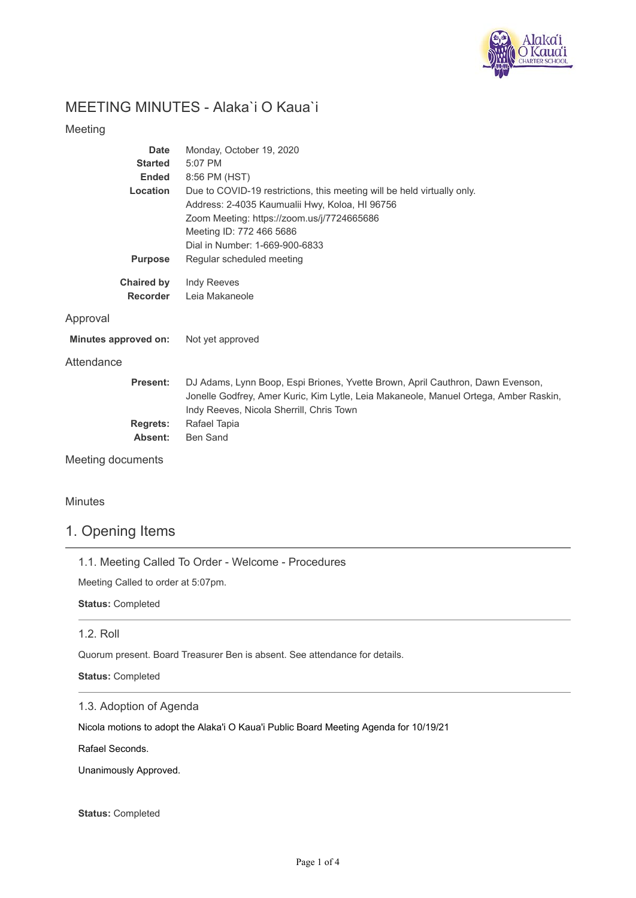

# MEETING MINUTES - Alaka`i O Kaua`i

#### Meeting

| Date                 | Monday, October 19, 2020                                                             |
|----------------------|--------------------------------------------------------------------------------------|
| <b>Started</b>       | 5:07 PM                                                                              |
| <b>Ended</b>         | 8:56 PM (HST)                                                                        |
| Location             | Due to COVID-19 restrictions, this meeting will be held virtually only.              |
|                      | Address: 2-4035 Kaumualii Hwy, Koloa, HI 96756                                       |
|                      | Zoom Meeting: https://zoom.us/j/7724665686                                           |
|                      | Meeting ID: 772 466 5686                                                             |
|                      | Dial in Number: 1-669-900-6833                                                       |
| <b>Purpose</b>       | Regular scheduled meeting                                                            |
| <b>Chaired by</b>    | Indy Reeves                                                                          |
| <b>Recorder</b>      | Leia Makaneole                                                                       |
| Approval             |                                                                                      |
| Minutes approved on: | Not yet approved                                                                     |
| Attendance           |                                                                                      |
| <b>Present:</b>      | DJ Adams, Lynn Boop, Espi Briones, Yvette Brown, April Cauthron, Dawn Evenson,       |
|                      | Jonelle Godfrey, Amer Kuric, Kim Lytle, Leia Makaneole, Manuel Ortega, Amber Raskin, |
|                      | Indy Reeves, Nicola Sherrill, Chris Town                                             |
| Regrets:             | Rafael Tapia                                                                         |

**Absent:** Ben Sand

Meeting documents

Minutes

### 1. Opening Items

1.1. Meeting Called To Order - Welcome - Procedures

Meeting Called to order at 5:07pm.

**Status:** Completed

#### 1.2. Roll

Quorum present. Board Treasurer Ben is absent. See attendance for details.

**Status:** Completed

### 1.3. Adoption of Agenda

Nicola motions to adopt the Alaka'i O Kaua'i Public Board Meeting Agenda for 10/19/21

Rafael Seconds.

Unanimously Approved.

**Status:** Completed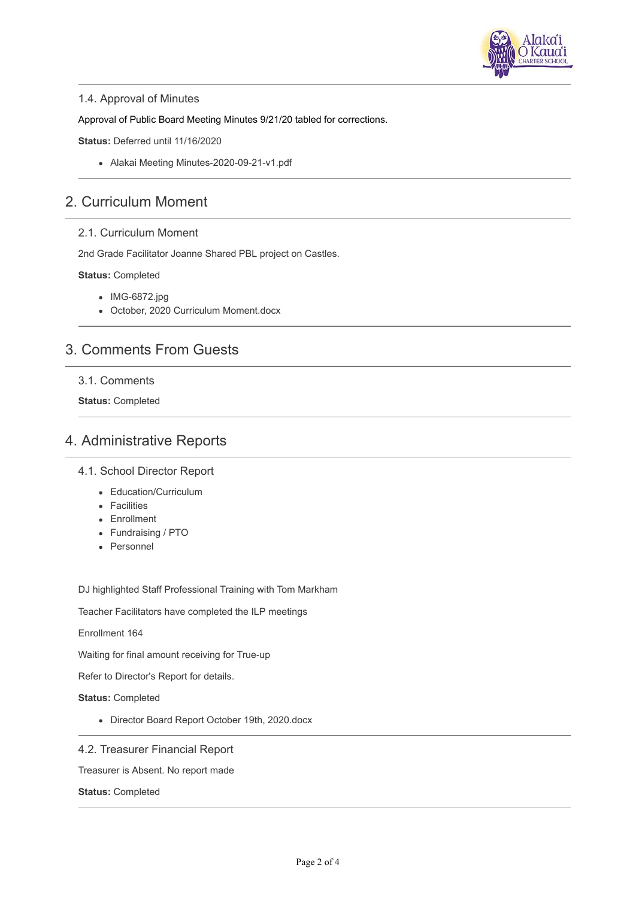

#### 1.4. Approval of Minutes

Approval of Public Board Meeting Minutes 9/21/20 tabled for corrections.

**Status:** Deferred until 11/16/2020

Alakai Meeting Minutes-2020-09-21-v1.pdf

### 2. Curriculum Moment

#### 2.1. Curriculum Moment

2nd Grade Facilitator Joanne Shared PBL project on Castles.

#### **Status:** Completed

- IMG-6872.jpg
- October, 2020 Curriculum Moment.docx

## 3. Comments From Guests

#### 3.1. Comments

**Status:** Completed

### 4. Administrative Reports

#### 4.1. School Director Report

- Education/Curriculum
- Facilities
- Enrollment
- Fundraising / PTO
- Personnel

DJ highlighted Staff Professional Training with Tom Markham

Teacher Facilitators have completed the ILP meetings

Enrollment 164

Waiting for final amount receiving for True-up

Refer to Director's Report for details.

**Status:** Completed

Director Board Report October 19th, 2020.docx

#### 4.2. Treasurer Financial Report

Treasurer is Absent. No report made

**Status:** Completed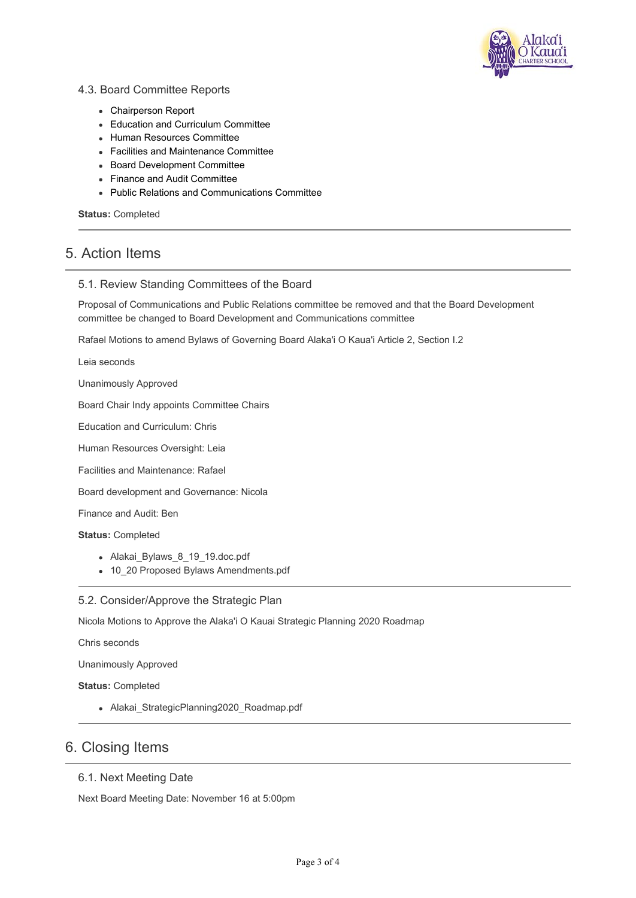

#### 4.3. Board Committee Reports

- Chairperson Report
- Education and Curriculum Committee
- Human Resources Committee
- Facilities and Maintenance Committee
- Board Development Committee
- Finance and Audit Committee
- Public Relations and Communications Committee

**Status:** Completed

### 5. Action Items

#### 5.1. Review Standing Committees of the Board

Proposal of Communications and Public Relations committee be removed and that the Board Development committee be changed to Board Development and Communications committee

Rafael Motions to amend Bylaws of Governing Board Alaka'i O Kaua'i Article 2, Section I.2

Leia seconds

Unanimously Approved

Board Chair Indy appoints Committee Chairs

Education and Curriculum: Chris

Human Resources Oversight: Leia

Facilities and Maintenance: Rafael

Board development and Governance: Nicola

Finance and Audit: Ben

**Status:** Completed

- Alakai\_Bylaws\_8\_19\_19.doc.pdf
- 10\_20 Proposed Bylaws Amendments.pdf

5.2. Consider/Approve the Strategic Plan

Nicola Motions to Approve the Alaka'i O Kauai Strategic Planning 2020 Roadmap

Chris seconds

Unanimously Approved

**Status:** Completed

• Alakai StrategicPlanning2020 Roadmap.pdf

### 6. Closing Items

#### 6.1. Next Meeting Date

Next Board Meeting Date: November 16 at 5:00pm